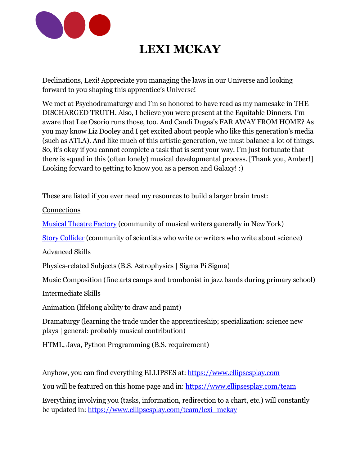

## **LEXI MCKAY**

Declinations, Lexi! Appreciate you managing the laws in our Universe and looking forward to you shaping this apprentice's Universe!

We met at Psychodramaturgy and I'm so honored to have read as my namesake in THE DISCHARGED TRUTH. Also, I believe you were present at the Equitable Dinners. I'm aware that Lee Osorio runs those, too. And Candi Dugas's FAR AWAY FROM HOME? As you may know Liz Dooley and I get excited about people who like this generation's media (such as ATLA). And like much of this artistic generation, we must balance a lot of things. So, it's okay if you cannot complete a task that is sent your way. I'm just fortunate that there is squad in this (often lonely) musical developmental process. [Thank you, Amber!] Looking forward to getting to know you as a person and Galaxy! :)

These are listed if you ever need my resources to build a larger brain trust:

**Connections** 

[Musical Theatre Factory](https://mtf.nyc/) (community of musical writers generally in New York)

[Story Collider](https://www.storycollider.org/) (community of scientists who write or writers who write about science)

Advanced Skills

Physics-related Subjects (B.S. Astrophysics | Sigma Pi Sigma)

Music Composition (fine arts camps and trombonist in jazz bands during primary school)

Intermediate Skills

Animation (lifelong ability to draw and paint)

Dramaturgy (learning the trade under the apprenticeship; specialization: science new plays | general: probably musical contribution)

HTML, Java, Python Programming (B.S. requirement)

Anyhow, you can find everything ELLIPSES at: [https://www.ellipsesplay.com](https://www.ellipsesplay.com/)

You will be featured on this home page and in:<https://www.ellipsesplay.com/team>

Everything involving you (tasks, information, redirection to a chart, etc.) will constantly be updated in: [https://www.ellipsesplay.com/team/lexi\\_mckay](https://www.ellipsesplay.com/team/lexi_mckay)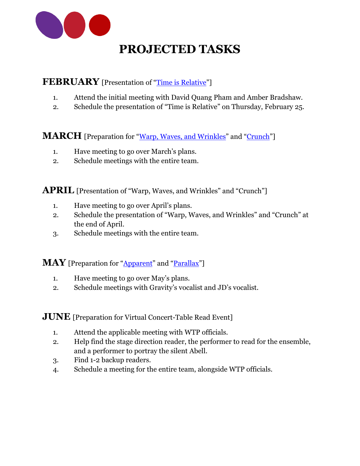

## **PROJECTED TASKS**

### **FEBRUARY** [Presentation of "[Time is Relative](https://www.ellipsesplay.com/music/13-time_is_relative)"]

- 1. Attend the initial meeting with David Quang Pham and Amber Bradshaw.
- 2. Schedule the presentation of "Time is Relative" on Thursday, February 25.

**MARCH** [Preparation for "[Warp, Waves, and Wrinkles](https://www.ellipsesplay.com/music/12-warp_waves_and_wrinkles)" and "[Crunch](https://www.ellipsesplay.com/music/2-crunch)"]

- 1. Have meeting to go over March's plans.
- 2. Schedule meetings with the entire team.

**APRIL** [Presentation of "Warp, Waves, and Wrinkles" and "Crunch"]

- 1. Have meeting to go over April's plans.
- 2. Schedule the presentation of "Warp, Waves, and Wrinkles" and "Crunch" at the end of April.
- 3. Schedule meetings with the entire team.

**MAY** [Preparation for "[Apparent](https://www.ellipsesplay.com/music/22-apparent)" and "[Parallax](https://www.ellipsesplay.com/music/25-parallax)"]

- 1. Have meeting to go over May's plans.
- 2. Schedule meetings with Gravity's vocalist and JD's vocalist.

**JUNE** [Preparation for Virtual Concert-Table Read Event]

- 1. Attend the applicable meeting with WTP officials.
- 2. Help find the stage direction reader, the performer to read for the ensemble, and a performer to portray the silent Abell.
- 3. Find 1-2 backup readers.
- 4. Schedule a meeting for the entire team, alongside WTP officials.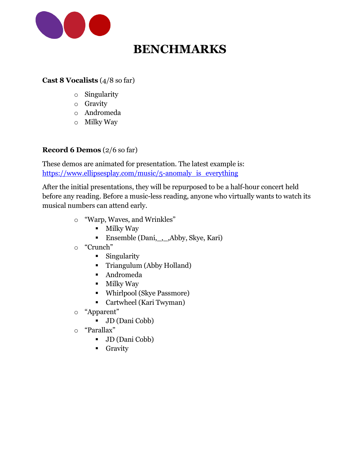

## **BENCHMARKS**

#### **Cast 8 Vocalists** (4/8 so far)

- o Singularity
- o Gravity
- o Andromeda
- o Milky Way

#### **Record 6 Demos** (2/6 so far)

These demos are animated for presentation. The latest example is: [https://www.ellipsesplay.com/music/5-anomaly\\_is\\_everything](https://www.ellipsesplay.com/music/5-anomaly_is_everything)

After the initial presentations, they will be repurposed to be a half-hour concert held before any reading. Before a music-less reading, anyone who virtually wants to watch its musical numbers can attend early.

- o "Warp, Waves, and Wrinkles"
	- Milky Way
	- Ensemble (Dani, \_, \_,Abby, Skye, Kari)
- o "Crunch"
	- Singularity
	- Triangulum (Abby Holland)
	- Andromeda
	- Milky Way
	- Whirlpool (Skye Passmore)
	- Cartwheel (Kari Twyman)
- o "Apparent"
	- JD (Dani Cobb)
- o "Parallax"
	- JD (Dani Cobb)
	- **•** Gravity